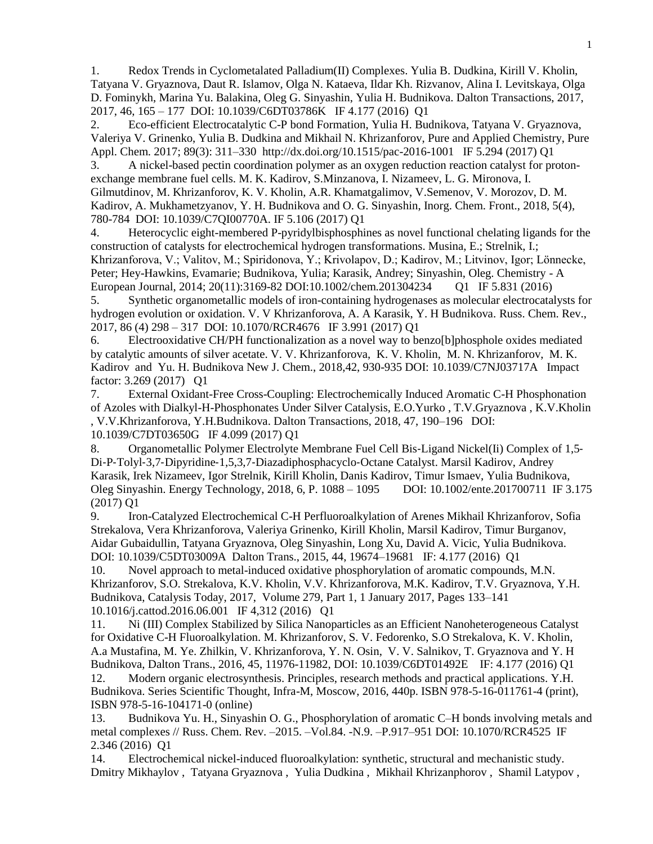1. Redox Trends in Cyclometalated Palladium(II) Complexes. Yulia B. Dudkina, Kirill V. Kholin, Tatyana V. Gryaznova, Daut R. Islamov, Olga N. Kataeva, Ildar Kh. Rizvanov, Alina I. Levitskaya, Olga D. Fominykh, Marina Yu. Balakina, Oleg G. Sinyashin, Yulia H. Budnikova. Dalton Transactions, 2017, 2017, 46, 165 – 177 DOI: 10.1039/C6DT03786K IF 4.177 (2016) Q1

2. Eco-efficient Electrocatalytic C-P bond Formation, Yulia H. Budnikova, Tatyana V. Gryaznova, Valeriya V. Grinenko, Yulia B. Dudkina and Mikhail N. Khrizanforov, Pure and Applied Chemistry, Pure Appl. Chem. 2017; 89(3): 311–330 http://dx.doi.org/10.1515/pac-2016-1001 IF 5.294 (2017) Q1

3. A nickel-based pectin coordination polymer as an oxygen reduction reaction catalyst for protonexchange membrane fuel cells. M. K. Kadirov, S.Minzanova, I. Nizameev, L. G. Mironova, I. Gilmutdinov, M. Khrizanforov, K. V. Kholin, A.R. Khamatgalimov, V.Semenov, V. Morozov, D. M. Kadirov, A. Mukhametzyanov, Y. H. Budnikova and O. G. Sinyashin, Inorg. Chem. Front., 2018, 5(4), 780-784 DOI: 10.1039/C7QI00770A. IF 5.106 (2017) Q1

4. Heterocyclic eight-membered P-pyridylbisphosphines as novel functional chelating ligands for the construction of catalysts for electrochemical hydrogen transformations. Musina, E.; Strelnik, I.; Khrizanforova, V.; Valitov, M.; Spiridonova, Y.; Krivolapov, D.; Kadirov, M.; Litvinov, Igor; Lönnecke, Peter; Hey-Hawkins, Evamarie; Budnikova, Yulia; Karasik, Andrey; Sinyashin, Oleg. Chemistry - A European Journal, 2014; 20(11):3169-82 DOI:10.1002/chem.201304234 Q1 IF 5.831 (2016)

5. Synthetic organometallic models of iron-containing hydrogenases as molecular electrocatalysts for hydrogen evolution or oxidation. V. V Khrizanforova, A. A Karasik, Y. H Budnikova. Russ. Chem. Rev., 2017, 86 (4) 298 – 317 DOI: 10.1070/RCR4676 IF 3.991 (2017) Q1

6. Electrooxidative CH/PH functionalization as a novel way to benzo[b]phosphole oxides mediated by catalytic amounts of silver acetate. V. V. Khrizanforova, K. V. Kholin, M. N. Khrizanforov, M. K. Kadirov and Yu. H. Budnikova New J. Chem., 2018,42, 930-935 DOI: 10.1039/C7NJ03717A Impact factor: 3.269 (2017) Q1

7. External Oxidant-Free Cross-Coupling: Electrochemically Induced Aromatic C-H Phosphonation of Azoles with Dialkyl-H-Phosphonates Under Silver Catalysis, E.O.Yurko , T.V.Gryaznova , K.V.Kholin , V.V.Khrizanforova, Y.H.Budnikova. Dalton Transactions, 2018, 47, 190–196 DOI: 10.1039/C7DT03650G IF 4.099 (2017) Q1

8. Organometallic Polymer Electrolyte Membrane Fuel Cell Bis-Ligand Nickel(Ii) Complex of 1,5– Di‐P‐Tolyl‐3,7‐Dipyridine‐1,5,3,7‐Diazadiphosphacyclo‐Octane Catalyst. Marsil Kadirov, Andrey Karasik, Irek Nizameev, Igor Strelnik, Kirill Kholin, Danis Kadirov, Timur Ismaev, Yulia Budnikova, Oleg Sinyashin. Energy Technology, 2018, 6, P. 1088 – 1095 DOI: 10.1002/ente.201700711 IF 3.175 (2017) Q1

9. Iron-Catalyzed Electrochemical C-H Perfluoroalkylation of Arenes Mikhail Khrizanforov, Sofia Strekalova, Vera Khrizanforova, Valeriya Grinenko, Kirill Kholin, Marsil Kadirov, Timur Burganov, Aidar Gubaidullin, Tatyana Gryaznova, Oleg Sinyashin, Long Xu, David A. Vicic, Yulia Budnikova. DOI: 10.1039/C5DT03009A Dalton Trans., 2015, 44, 19674–19681 IF: 4.177 (2016) Q1

10. Novel approach to metal-induced oxidative phosphorylation of aromatic compounds, M.N. Khrizanforov, S.O. Strekalova, K.V. Kholin, V.V. Khrizanforova, M.K. Kadirov, T.V. Gryaznova, Y.H. Budnikova, Catalysis Today, 2017, Volume 279, Part 1, 1 January 2017, Pages 133–141 10.1016/j.cattod.2016.06.001 IF 4,312 (2016) Q1

11. Ni (III) Complex Stabilized by Silica Nanoparticles as an Efficient Nanoheterogeneous Catalyst for Oxidative C-H Fluoroalkylation. M. Khrizanforov, S. V. Fedorenko, S.O Strekalova, K. V. Kholin, A.a Mustafina, M. Ye. Zhilkin, V. Khrizanforova, Y. N. Osin, V. V. Salnikov, T. Gryaznova and Y. H Budnikova, Dalton Trans., 2016, 45, 11976-11982, DOI: 10.1039/C6DT01492E IF: 4.177 (2016) Q1 12. Modern organic electrosynthesis. Principles, research methods and practical applications. Y.H. Budnikova. Series Scientific Thought, Infra-M, Moscow, 2016, 440p. ISBN 978-5-16-011761-4 (print), ISBN 978-5-16-104171-0 (online)

13. Budnikova Yu. H., Sinyashin O. G., Phosphorylation of aromatic C–H bonds involving metals and metal complexes // Russ. Chem. Rev. –2015. –Vol.84. -N.9. –P.917–951 DOI: 10.1070/RCR4525 IF 2.346 (2016) Q1

14. Electrochemical nickel-induced fluoroalkylation: synthetic, structural and mechanistic study. Dmitry Mikhaylov , Tatyana Gryaznova , Yulia Dudkina , Mikhail Khrizanphorov , Shamil Latypov ,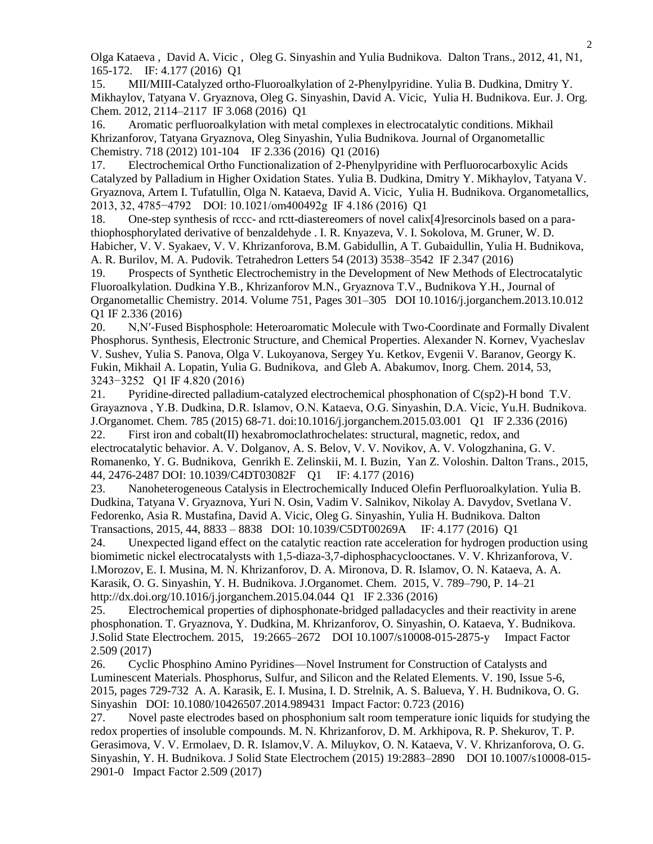Olga Kataeva , David A. Vicic , Oleg G. Sinyashin and Yulia Budnikova. Dalton Trans., 2012, 41, N1, 165-172. IF: 4.177 (2016) Q1

15. MII/MIII-Catalyzed ortho-Fluoroalkylation of 2-Phenylpyridine. Yulia B. Dudkina, Dmitry Y. Mikhaylov, Tatyana V. Gryaznova, Oleg G. Sinyashin, David A. Vicic, Yulia H. Budnikova. Eur. J. Org. Chem. 2012, 2114–2117 IF 3.068 (2016) Q1

16. Aromatic perfluoroalkylation with metal complexes in electrocatalytic conditions. Mikhail Khrizanforov, Tatyana Gryaznova, Oleg Sinyashin, Yulia Budnikova. Journal of Organometallic Chemistry. 718 (2012) 101-104 IF 2.336 (2016) Q1 (2016)

17. Electrochemical Ortho Functionalization of 2-Phenylpyridine with Perfluorocarboxylic Acids Catalyzed by Palladium in Higher Oxidation States. Yulia B. Dudkina, Dmitry Y. Mikhaylov, Tatyana V. Gryaznova, Artem I. Tufatullin, Olga N. Kataeva, David A. Vicic, Yulia H. Budnikova. Organometallics, 2013, 32, 4785−4792 DOI: 10.1021/om400492g IF 4.186 (2016) Q1

18. One-step synthesis of rccc- and rctt-diastereomers of novel calix[4]resorcinols based on a parathiophosphorylated derivative of benzaldehyde . I. R. Knyazeva, V. I. Sokolova, M. Gruner, W. D. Habicher, V. V. Syakaev, V. V. Khrizanforova, B.M. Gabidullin, A T. Gubaidullin, Yulia H. Budnikova, A. R. Burilov, M. A. Pudovik. Tetrahedron Letters 54 (2013) 3538–3542 IF 2.347 (2016)

19. Prospects of Synthetic Electrochemistry in the Development of New Methods of Electrocatalytic Fluoroalkylation. Dudkina Y.B., Khrizanforov M.N., Gryaznova T.V., Budnikova Y.H., Journal of Organometallic Chemistry. 2014. Volume 751, Pages 301–305 DOI 10.1016/j.jorganchem.2013.10.012 Q1 IF 2.336 (2016)

20. N,N′-Fused Bisphosphole: Heteroaromatic Molecule with Two-Coordinate and Formally Divalent Phosphorus. Synthesis, Electronic Structure, and Chemical Properties. Alexander N. Kornev, Vyacheslav V. Sushev, Yulia S. Panova, Olga V. Lukoyanova, Sergey Yu. Ketkov, Evgenii V. Baranov, Georgy K. Fukin, Mikhail A. Lopatin, Yulia G. Budnikova, and Gleb A. Abakumov, Inorg. Chem. 2014, 53, 3243−3252 Q1 IF 4.820 (2016)

21. Pyridine-directed palladium-catalyzed electrochemical phosphonation of C(sp2)-H bond T.V. Grayaznova , Y.B. Dudkina, D.R. Islamov, O.N. Kataeva, O.G. Sinyashin, D.A. Vicic, Yu.Н. Budnikova. J.Organomet. Chem. 785 (2015) 68-71. doi:10.1016/j.jorganchem.2015.03.001 Q1 IF 2.336 (2016)

22. First iron and cobalt(II) hexabromoclathrochelates: structural, magnetic, redox, and electrocatalytic behavior. A. V. Dolganov, A. S. Belov, V. V. Novikov, A. V. Vologzhanina, G. V. Romanenko, Y. G. Budnikova, Genrikh E. Zelinskii, M. I. Buzin, Yan Z. Voloshin. Dalton Trans., 2015, 44, 2476-2487 DOI: 10.1039/C4DT03082F Q1 IF: 4.177 (2016)

23. Nanoheterogeneous Catalysis in Electrochemically Induced Olefin Perfluoroalkylation. Yulia B. Dudkina, Tatyana V. Gryaznova, Yuri N. Osin, Vadim V. Salnikov, Nikolay A. Davydov, Svetlana V. Fedorenko, Asia R. Mustafina, David A. Vicic, Oleg G. Sinyashin, Yulia H. Budnikova. Dalton Transactions, 2015, 44, 8833 – 8838 DOI: 10.1039/C5DT00269A IF: 4.177 (2016) Q1

24. Unexpected ligand effect on the catalytic reaction rate acceleration for hydrogen production using biomimetic nickel electrocatalysts with 1,5-diaza-3,7-diphosphacyclooctanes. V. V. Khrizanforova, V. I.Morozov, E. I. Musina, M. N. Khrizanforov, D. A. Mironova, D. R. Islamov, O. N. Kataeva, A. A. Karasik, O. G. Sinyashin, Y. H. Budnikova. J.Organomet. Chem. 2015, V. 789–790, P. 14–21 http://dx.doi.org/10.1016/j.jorganchem.2015.04.044 Q1 IF 2.336 (2016)

25. Electrochemical properties of diphosphonate-bridged palladacycles and their reactivity in arene phosphonation. T. Gryaznova, Y. Dudkina, M. Khrizanforov, O. Sinyashin, O. Kataeva, Y. Budnikova. J.Solid State Electrochem. 2015, 19:2665–2672 DOI 10.1007/s10008-015-2875-y Impact Factor 2.509 (2017)

26. Cyclic Phosphino Amino Pyridines—Novel Instrument for Construction of Catalysts and Luminescent Materials. Phosphorus, Sulfur, and Silicon and the Related Elements. V. 190, Issue 5-6, 2015, pages 729-732 A. A. Karasik, E. I. Musina, I. D. Strelnik, A. S. Balueva, Y. H. Budnikova, O. G. Sinyashin DOI: 10.1080/10426507.2014.989431 Impact Factor: 0.723 (2016)

27. Novel paste electrodes based on phosphonium salt room temperature ionic liquids for studying the redox properties of insoluble compounds. M. N. Khrizanforov, D. M. Arkhipova, R. P. Shekurov, T. P. Gerasimova, V. V. Ermolaev, D. R. Islamov,V. A. Miluykov, O. N. Kataeva, V. V. Khrizanforova, O. G. Sinyashin, Y. H. Budnikova. J Solid State Electrochem (2015) 19:2883–2890 DOI 10.1007/s10008-015- 2901-0 Impact Factor 2.509 (2017)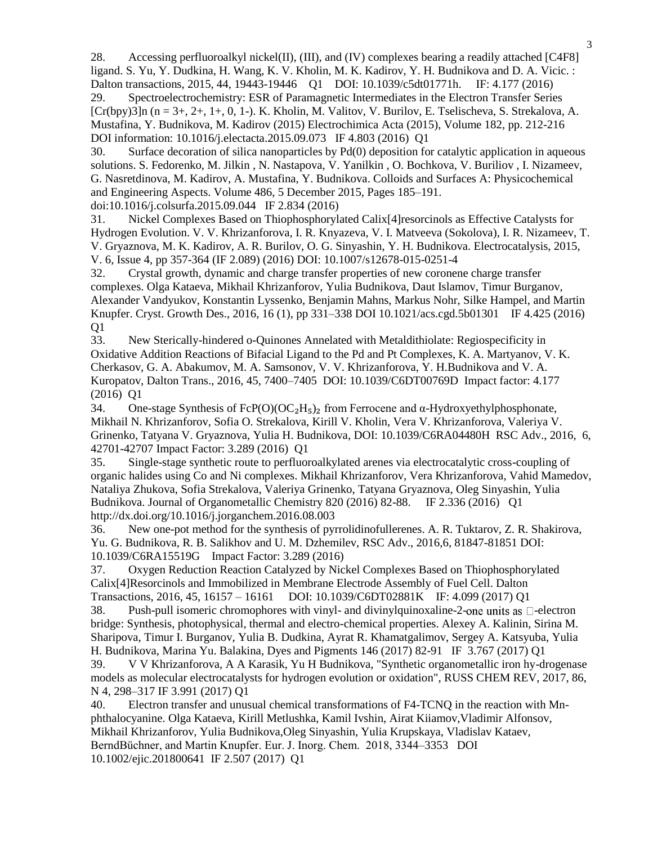28. Accessing perfluoroalkyl nickel(II), (III), and (IV) complexes bearing a readily attached  $[C4F8]$ ligand. S. Yu, Y. Dudkina, H. Wang, K. V. Kholin, M. K. Kadirov, Y. H. Budnikova and D. A. Vicic. : Dalton transactions, 2015, 44, 19443-19446 Q1 DOI: 10.1039/c5dt01771h. IF: 4.177 (2016) 29. Spectroelectrochemistry: ESR of Paramagnetic Intermediates in the Electron Transfer Series  $[Cr(bpy)3]n (n = 3+, 2+, 1+, 0, 1-)$ . K. Kholin, M. Valitov, V. Burilov, E. Tselischeva, S. Strekalova, A. Mustafina, Y. Budnikova, M. Kadirov (2015) Electrochimica Acta (2015), Volume 182, pp. 212-216 DOI information: 10.1016/j.electacta.2015.09.073 IF 4.803 (2016) Q1

30. Surface decoration of silica nanoparticles by Pd(0) deposition for catalytic application in aqueous solutions. S. Fedorenko, M. Jilkin , N. Nastapova, V. Yanilkin , O. Bochkova, V. Buriliov , I. Nizameev, G. Nasretdinova, M. Kadirov, A. Mustafina, Y. Budnikova. Colloids and Surfaces A: Physicochemical and Engineering Aspects. Volume 486, 5 December 2015, Pages 185–191. doi:10.1016/j.colsurfa.2015.09.044 IF 2.834 (2016)

31. Nickel Complexes Based on Thiophosphorylated Calix[4]resorcinols as Effective Catalysts for Hydrogen Evolution. V. V. Khrizanforova, I. R. Knyazeva, V. I. Matveeva (Sokolova), I. R. Nizameev, T. V. Gryaznova, M. K. Kadirov, A. R. Burilov, O. G. Sinyashin, Y. H. Budnikova. Electrocatalysis, 2015, V. 6, Issue 4, pp 357-364 (IF 2.089) (2016) DOI: 10.1007/s12678-015-0251-4

32. Crystal growth, dynamic and charge transfer properties of new coronene charge transfer complexes. Olga Kataeva, Mikhail Khrizanforov, Yulia Budnikova, Daut Islamov, Timur Burganov, Alexander Vandyukov, Konstantin Lyssenko, Benjamin Mahns, Markus Nohr, Silke Hampel, and Martin Knupfer. Cryst. Growth Des., 2016, 16 (1), pp 331–338 DOI 10.1021/acs.cgd.5b01301 IF 4.425 (2016) Q1

33. New Sterically-hindered o-Quinones Annelated with Metaldithiolate: Regiospecificity in Oxidative Addition Reactions of Bifacial Ligand to the Pd and Pt Complexes, K. A. Martyanov, V. K. Cherkasov, G. A. Abakumov, M. A. Samsonov, V. V. Khrizanforova, Y. H.Budnikova and V. A. Kuropatov, Dalton Trans., 2016, 45, 7400–7405 DOI: 10.1039/C6DT00769D Impact factor: 4.177 (2016) Q1

34. One-stage Synthesis of  $FeP(O)(OC<sub>2</sub>H<sub>5</sub>)<sub>2</sub>$  from Ferrocene and  $\alpha$ -Hydroxyethylphosphonate, Mikhail N. Khrizanforov, Sofia O. Strekalova, Kirill V. Kholin, Vera V. Khrizanforova, Valeriya V. Grinenko, Tatyana V. Gryaznova, Yulia H. Budnikova, DOI: 10.1039/C6RA04480H RSC Adv., 2016, 6, 42701-42707 Impact Factor: 3.289 (2016) Q1

35. Single-stage synthetic route to perfluoroalkylated arenes via electrocatalytic cross-coupling of organic halides using Co and Ni complexes. Mikhail Khrizanforov, Vera Khrizanforova, Vahid Mamedov, Nataliya Zhukova, Sofia Strekalova, Valeriya Grinenko, Tatyana Gryaznova, Oleg Sinyashin, Yulia Budnikova. Journal of Organometallic Chemistry 820 (2016) 82-88. IF 2.336 (2016) Q1 http://dx.doi.org/10.1016/j.jorganchem.2016.08.003

36. New one-pot method for the synthesis of pyrrolidinofullerenes. A. R. Tuktarov, Z. R. Shakirova, Yu. G. Budnikova, R. B. Salikhov and U. M. Dzhemilev, RSC Adv., 2016,6, 81847-81851 DOI: 10.1039/C6RA15519G Impact Factor: 3.289 (2016)

37. Oxygen Reduction Reaction Catalyzed by Nickel Complexes Based on Thiophosphorylated Calix[4]Resorcinols and Immobilized in Membrane Electrode Assembly of Fuel Cell. Dalton Transactions, 2016, 45, 16157 – 16161 DOI: 10.1039/C6DT02881K IF: 4.099 (2017) Q1

38. Push-pull isomeric chromophores with vinyl- and divinylquinoxaline-2-one units as  $\Box$ -electron bridge: Synthesis, photophysical, thermal and electro-chemical properties. Alexey A. Kalinin, Sirina M. Sharipova, Timur I. Burganov, Yulia B. Dudkina, Ayrat R. Khamatgalimov, Sergey A. Katsyuba, Yulia H. Budnikova, Marina Yu. Balakina, Dyes and Pigments 146 (2017) 82-91 IF 3.767 (2017) Q1

39. V V Khrizanforova, A A Karasik, Yu H Budnikova, "Synthetic organometallic iron hy-drogenase models as molecular electrocatalysts for hydrogen evolution or oxidation", RUSS CHEM REV, 2017, 86, N 4, 298–317 IF 3.991 (2017) Q1

40. Electron transfer and unusual chemical transformations of F4-TCNQ in the reaction with Mnphthalocyanine. Olga Kataeva, Kirill Metlushka, Kamil Ivshin, Airat Kiiamov,Vladimir Alfonsov, Mikhail Khrizanforov, Yulia Budnikova,Oleg Sinyashin, Yulia Krupskaya, Vladislav Kataev, BerndBüchner, and Martin Knupfer. Eur. J. Inorg. Chem. 2018, 3344–3353 DOI 10.1002/ejic.201800641 IF 2.507 (2017) Q1